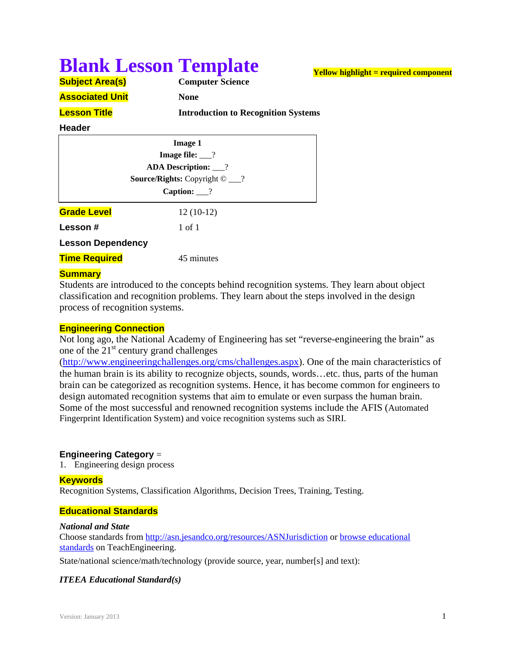# **Blank Lesson Template**

**Yellow highlight = required component**

| <b>Subject Area(s)</b> | <b>Computer Science</b>                    |  |
|------------------------|--------------------------------------------|--|
| <b>Associated Unit</b> | <b>None</b>                                |  |
| <b>Lesson Title</b>    | <b>Introduction to Recognition Systems</b> |  |

#### **Header**

| <b>Image 1</b>            |                                             |  |  |  |  |  |
|---------------------------|---------------------------------------------|--|--|--|--|--|
| Image file: $\frac{?}{?}$ |                                             |  |  |  |  |  |
|                           | <b>ADA Description:</b> __?                 |  |  |  |  |  |
|                           | <b>Source/Rights:</b> Copyright $\odot$ __? |  |  |  |  |  |
|                           | Caption: $\frac{?}{?}$                      |  |  |  |  |  |
| <b>Grade Level</b>        | $12(10-12)$                                 |  |  |  |  |  |
| <b>Lesson</b> #           | 1 of 1                                      |  |  |  |  |  |
| <b>Lesson Dependency</b>  |                                             |  |  |  |  |  |
| <u>Time Required</u>      | 45 minutes                                  |  |  |  |  |  |
|                           |                                             |  |  |  |  |  |

## **Summary**

Students are introduced to the concepts behind recognition systems. They learn about object classification and recognition problems. They learn about the steps involved in the design process of recognition systems.

## **Engineering Connection**

Not long ago, the National Academy of Engineering has set "reverse-engineering the brain" as one of the  $21<sup>st</sup>$  century grand challenges

(http://www.engineeringchallenges.org/cms/challenges.aspx). One of the main characteristics of the human brain is its ability to recognize objects, sounds, words…etc. thus, parts of the human brain can be categorized as recognition systems. Hence, it has become common for engineers to design automated recognition systems that aim to emulate or even surpass the human brain. Some of the most successful and renowned recognition systems include the AFIS (Automated Fingerprint Identification System) and voice recognition systems such as SIRI.

## **Engineering Category** =

1. Engineering design process

## **Keywords**

Recognition Systems, Classification Algorithms, Decision Trees, Training, Testing.

## **Educational Standards**

## *National and State*

Choose standards from http://asn.jesandco.org/resources/ASNJurisdiction or browse educational standards on TeachEngineering.

State/national science/math/technology (provide source, year, number[s] and text):

## *ITEEA Educational Standard(s)*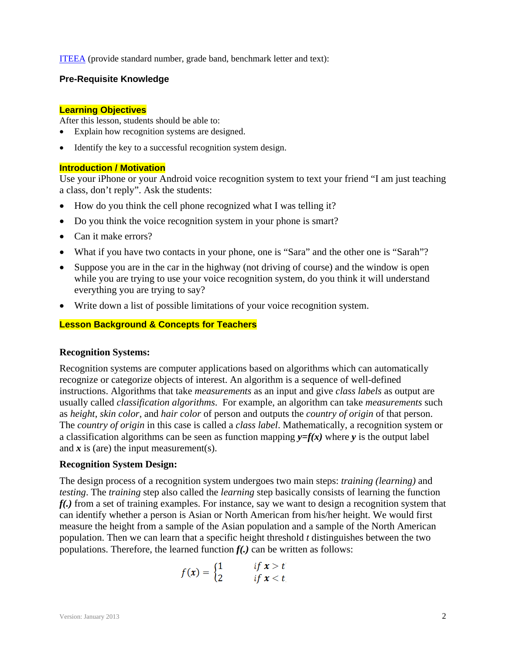ITEEA (provide standard number, grade band, benchmark letter and text):

## **Pre-Requisite Knowledge**

## **Learning Objectives**

After this lesson, students should be able to:

- Explain how recognition systems are designed.
- Identify the key to a successful recognition system design.

## **Introduction / Motivation**

Use your iPhone or your Android voice recognition system to text your friend "I am just teaching a class, don't reply". Ask the students:

- How do you think the cell phone recognized what I was telling it?
- Do you think the voice recognition system in your phone is smart?
- Can it make errors?
- What if you have two contacts in your phone, one is "Sara" and the other one is "Sarah"?
- Suppose you are in the car in the highway (not driving of course) and the window is open while you are trying to use your voice recognition system, do you think it will understand everything you are trying to say?
- Write down a list of possible limitations of your voice recognition system.

## **Lesson Background & Concepts for Teachers**

## **Recognition Systems:**

Recognition systems are computer applications based on algorithms which can automatically recognize or categorize objects of interest. An algorithm is a sequence of well-defined instructions. Algorithms that take *measurements* as an input and give *class labels* as output are usually called *classification algorithms*. For example, an algorithm can take *measurements* such as *height*, *skin color*, and *hair color* of person and outputs the *country of origin* of that person. The *country of origin* in this case is called a *class label*. Mathematically, a recognition system or a classification algorithms can be seen as function mapping  $y=f(x)$  where *y* is the output label and  $\dot{x}$  is (are) the input measurement(s).

## **Recognition System Design:**

The design process of a recognition system undergoes two main steps: *training (learning)* and *testing*. The *training* step also called the *learning* step basically consists of learning the function *f(.)* from a set of training examples. For instance, say we want to design a recognition system that can identify whether a person is Asian or North American from his/her height. We would first measure the height from a sample of the Asian population and a sample of the North American population. Then we can learn that a specific height threshold *t* distinguishes between the two populations. Therefore, the learned function *f(.)* can be written as follows:

$$
f(\pmb{x}) = \begin{cases} 1 & \text{if } \pmb{x} > t \\ 2 & \text{if } \pmb{x} < t \end{cases}
$$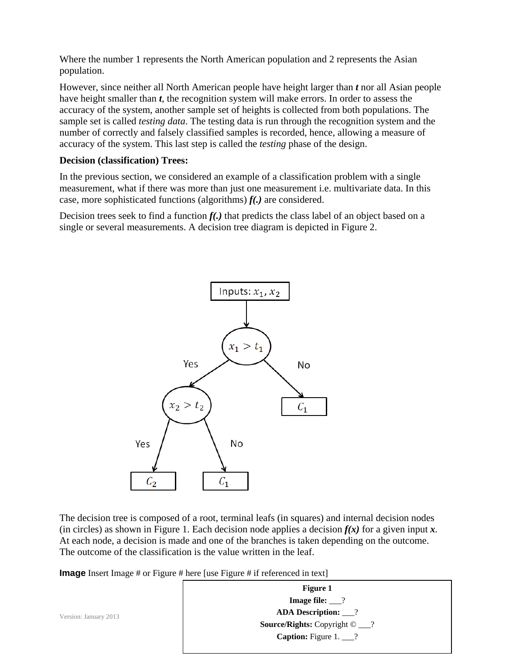Where the number 1 represents the North American population and 2 represents the Asian population.

However, since neither all North American people have height larger than *t* nor all Asian people have height smaller than *t*, the recognition system will make errors. In order to assess the accuracy of the system, another sample set of heights is collected from both populations. The sample set is called *testing data*. The testing data is run through the recognition system and the number of correctly and falsely classified samples is recorded, hence, allowing a measure of accuracy of the system. This last step is called the *testing* phase of the design.

## **Decision (classification) Trees:**

In the previous section, we considered an example of a classification problem with a single measurement, what if there was more than just one measurement i.e. multivariate data. In this case, more sophisticated functions (algorithms) *f(.)* are considered.

Decision trees seek to find a function  $f(.)$  that predicts the class label of an object based on a single or several measurements. A decision tree diagram is depicted in Figure 2.



The decision tree is composed of a root, terminal leafs (in squares) and internal decision nodes (in circles) as shown in Figure 1. Each decision node applies a decision  $f(x)$  for a given input  $x$ . At each node, a decision is made and one of the branches is taken depending on the outcome. The outcome of the classification is the value written in the leaf.

**Image** Insert Image # or Figure # here [use Figure # if referenced in text]

Version: January 2013 3 **Figure 1 Image file:** \_\_\_? **ADA Description:** \_\_\_? **Source/Rights:** Copyright © \_\_\_? **Caption:** Figure 1. \_\_\_?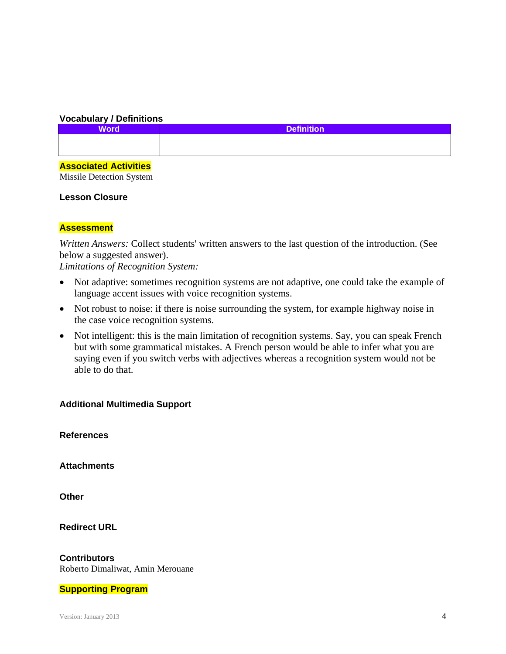## **Vocabulary / Definitions**

| <b>Word</b>                                          | <b>Definition</b> |
|------------------------------------------------------|-------------------|
|                                                      |                   |
|                                                      |                   |
| <u> 1989 - Johann Stoff, Amerikaansk politiker (</u> |                   |

## **Associated Activities**

Missile Detection System

## **Lesson Closure**

## **Assessment**

*Written Answers:* Collect students' written answers to the last question of the introduction. (See below a suggested answer).

*Limitations of Recognition System:*

- Not adaptive: sometimes recognition systems are not adaptive, one could take the example of language accent issues with voice recognition systems.
- Not robust to noise: if there is noise surrounding the system, for example highway noise in the case voice recognition systems.
- Not intelligent: this is the main limitation of recognition systems. Say, you can speak French but with some grammatical mistakes. A French person would be able to infer what you are saying even if you switch verbs with adjectives whereas a recognition system would not be able to do that.

## **Additional Multimedia Support**

**References** 

**Attachments** 

**Other** 

**Redirect URL** 

**Contributors** Roberto Dimaliwat, Amin Merouane

## **Supporting Program**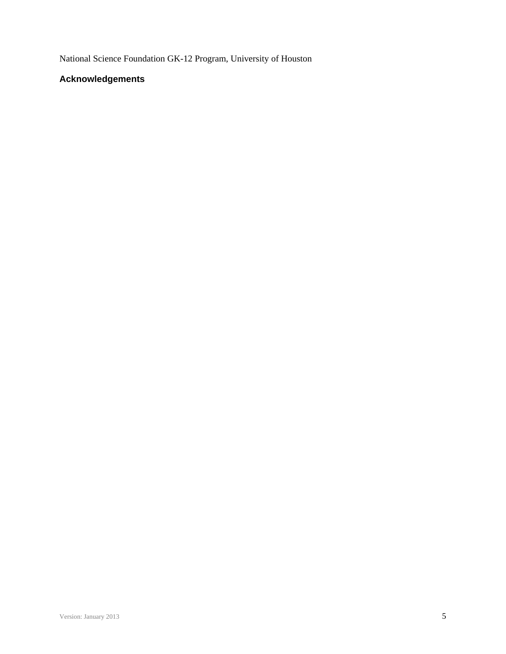National Science Foundation GK-12 Program, University of Houston

## **Acknowledgements**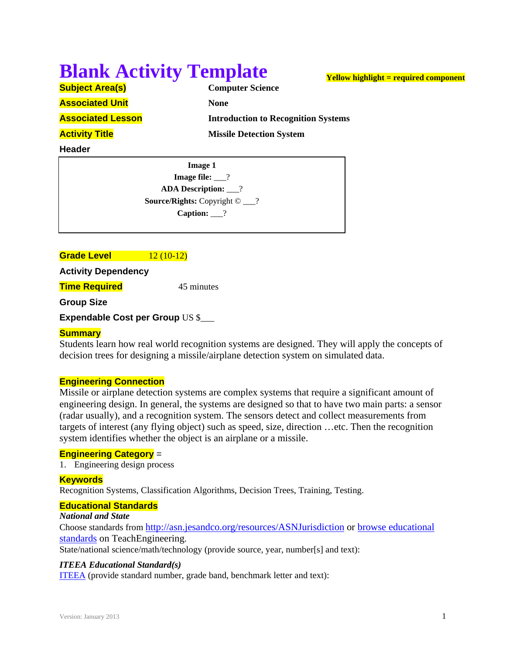# **Blank Activity Template**

|  | <b>Subject Area(s)</b> |  |  |
|--|------------------------|--|--|
|  |                        |  |  |

**Associated Unit None None** 

**Computer Science Associated Lesson Introduction to Recognition Systems Activity Title** *Missile Detection System* 

**Yellow highlight = required component**

## **Header**

**Image 1 Image file:** 2 **ADA Description:** \_\_\_? **Source/Rights:** Copyright © \_\_\_? **Caption:** \_\_\_?

## **Grade Level 12 (10-12)**

**Activity Dependency** 

**Time Required** 45 minutes

**Group Size**

**Expendable Cost per Group** US \$\_\_\_

## **Summary**

Students learn how real world recognition systems are designed. They will apply the concepts of decision trees for designing a missile/airplane detection system on simulated data.

## **Engineering Connection**

Missile or airplane detection systems are complex systems that require a significant amount of engineering design. In general, the systems are designed so that to have two main parts: a sensor (radar usually), and a recognition system. The sensors detect and collect measurements from targets of interest (any flying object) such as speed, size, direction …etc. Then the recognition system identifies whether the object is an airplane or a missile.

## **Engineering Category** =

1. Engineering design process

## **Keywords**

Recognition Systems, Classification Algorithms, Decision Trees, Training, Testing.

## **Educational Standards**

## *National and State*

Choose standards from http://asn.jesandco.org/resources/ASNJurisdiction or browse educational standards on TeachEngineering.

State/national science/math/technology (provide source, year, number[s] and text):

## *ITEEA Educational Standard(s)*

ITEEA (provide standard number, grade band, benchmark letter and text):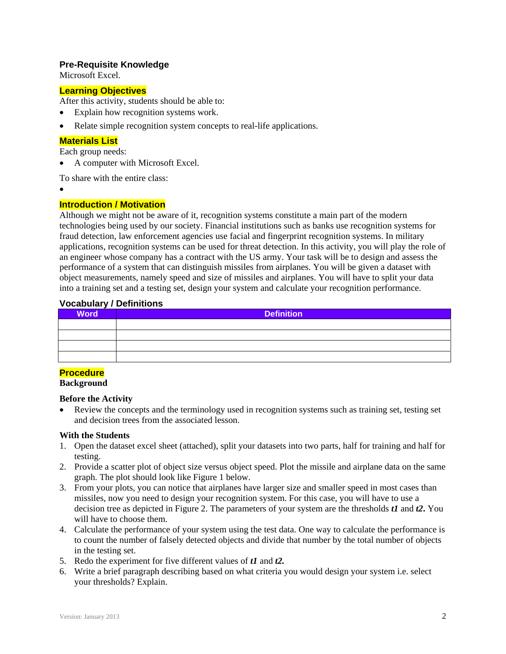## **Pre-Requisite Knowledge**

Microsoft Excel.

#### **Learning Objectives**

After this activity, students should be able to:

- Explain how recognition systems work.
- Relate simple recognition system concepts to real-life applications.

#### **Materials List**

Each group needs:

A computer with Microsoft Excel.

To share with the entire class:

 $\bullet$ 

#### **Introduction / Motivation**

Although we might not be aware of it, recognition systems constitute a main part of the modern technologies being used by our society. Financial institutions such as banks use recognition systems for fraud detection, law enforcement agencies use facial and fingerprint recognition systems. In military applications, recognition systems can be used for threat detection. In this activity, you will play the role of an engineer whose company has a contract with the US army. Your task will be to design and assess the performance of a system that can distinguish missiles from airplanes. You will be given a dataset with object measurements, namely speed and size of missiles and airplanes. You will have to split your data into a training set and a testing set, design your system and calculate your recognition performance.

#### **Vocabulary / Definitions**

| <b>Word</b> | <b>Definition</b> |
|-------------|-------------------|
|             |                   |
|             |                   |
|             |                   |
|             |                   |

## **Procedure**

**Background**

#### **Before the Activity**

 Review the concepts and the terminology used in recognition systems such as training set, testing set and decision trees from the associated lesson.

#### **With the Students**

- 1. Open the dataset excel sheet (attached), split your datasets into two parts, half for training and half for testing.
- 2. Provide a scatter plot of object size versus object speed. Plot the missile and airplane data on the same graph. The plot should look like Figure 1 below.
- 3. From your plots, you can notice that airplanes have larger size and smaller speed in most cases than missiles, now you need to design your recognition system. For this case, you will have to use a decision tree as depicted in Figure 2. The parameters of your system are the thresholds *t1* and *t2***.** You will have to choose them.
- 4. Calculate the performance of your system using the test data. One way to calculate the performance is to count the number of falsely detected objects and divide that number by the total number of objects in the testing set.
- 5. Redo the experiment for five different values of *t1* and *t2.*
- 6. Write a brief paragraph describing based on what criteria you would design your system i.e. select your thresholds? Explain.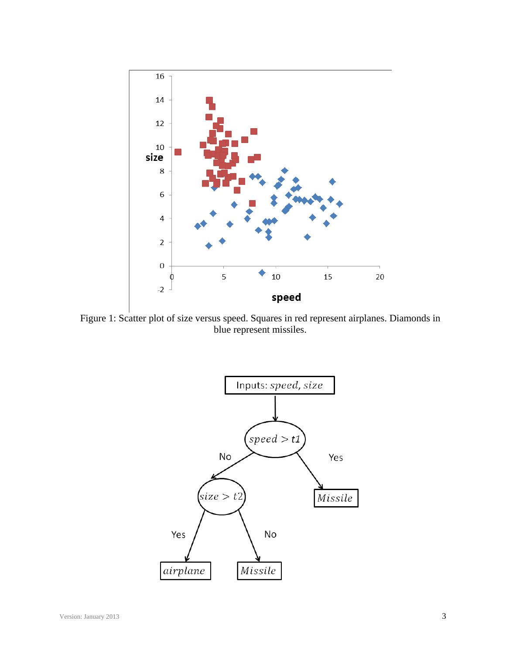

Figure 1: Scatter plot of size versus speed. Squares in red represent airplanes. Diamonds in blue represent missiles.

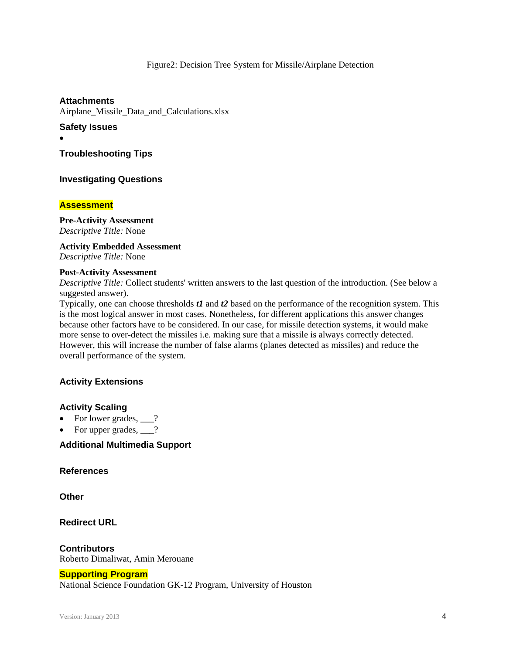#### Figure2: Decision Tree System for Missile/Airplane Detection

**Attachments** Airplane\_Missile\_Data\_and\_Calculations.xlsx

## **Safety Issues**

 $\bullet$ 

**Troubleshooting Tips** 

## **Investigating Questions**

#### **Assessment**

## **Pre-Activity Assessment**

*Descriptive Title:* None

**Activity Embedded Assessment**  *Descriptive Title:* None

#### **Post-Activity Assessment**

*Descriptive Title:* Collect students' written answers to the last question of the introduction. (See below a suggested answer).

Typically, one can choose thresholds *t1* and *t2* based on the performance of the recognition system. This is the most logical answer in most cases. Nonetheless, for different applications this answer changes because other factors have to be considered. In our case, for missile detection systems, it would make more sense to over-detect the missiles i.e. making sure that a missile is always correctly detected. However, this will increase the number of false alarms (planes detected as missiles) and reduce the overall performance of the system.

## **Activity Extensions**

## **Activity Scaling**

- For lower grades,  $\qquad$ ?
- For upper grades,  $\frac{1}{2}$ ?

## **Additional Multimedia Support**

#### **References**

**Other**

**Redirect URL** 

**Contributors** Roberto Dimaliwat, Amin Merouane

## **Supporting Program**

National Science Foundation GK-12 Program, University of Houston